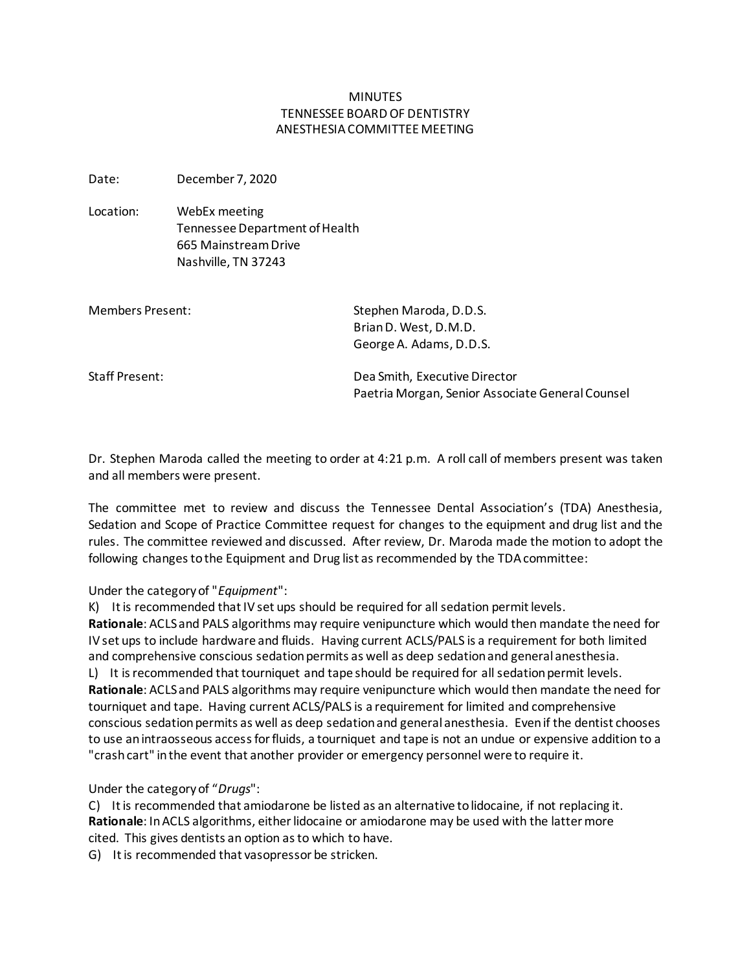## MINUTES TENNESSEE BOARD OF DENTISTRY ANESTHESIA COMMITTEE MEETING

Date: December 7, 2020

Location: WebEx meeting Tennessee Department of Health 665 Mainstream Drive Nashville, TN 37243

| Members Present: | Stephen Maroda, D.D.S.<br>Brian D. West, D.M.D.                                   |
|------------------|-----------------------------------------------------------------------------------|
|                  | George A. Adams, D.D.S.                                                           |
| Staff Present:   | Dea Smith, Executive Director<br>Paetria Morgan, Senior Associate General Counsel |

Dr. Stephen Maroda called the meeting to order at 4:21 p.m. A roll call of members present was taken and all members were present.

The committee met to review and discuss the Tennessee Dental Association's (TDA) Anesthesia, Sedation and Scope of Practice Committee request for changes to the equipment and drug list and the rules. The committee reviewed and discussed. After review, Dr. Maroda made the motion to adopt the following changes to the Equipment and Drug list as recommended by the TDA committee:

## Under the category of "*Equipment*":

K) It is recommended that IV set ups should be required for all sedation permit levels.

**Rationale**: ACLS and PALS algorithms may require venipuncture which would then mandate the need for IV set ups to include hardware and fluids. Having current ACLS/PALS is a requirement for both limited and comprehensive conscious sedation permits as well as deep sedation and general anesthesia.

L) It is recommended that tourniquet and tape should be required for all sedation permit levels. **Rationale**: ACLS and PALS algorithms may require venipuncture which would then mandate the need for tourniquet and tape. Having current ACLS/PALS is a requirement for limited and comprehensive conscious sedation permits as well as deep sedation and general anesthesia. Even if the dentist chooses to use an intraosseous access for fluids, a tourniquet and tape is not an undue or expensive addition to a "crash cart" in the event that another provider or emergency personnel were to require it.

## Under the category of "*Drugs*":

C) It is recommended that amiodarone be listed as an alternative to lidocaine, if not replacing it. **Rationale**: In ACLS algorithms, either lidocaine or amiodarone may be used with the latter more cited. This gives dentists an option as to which to have.

G) It is recommended that vasopressor be stricken.